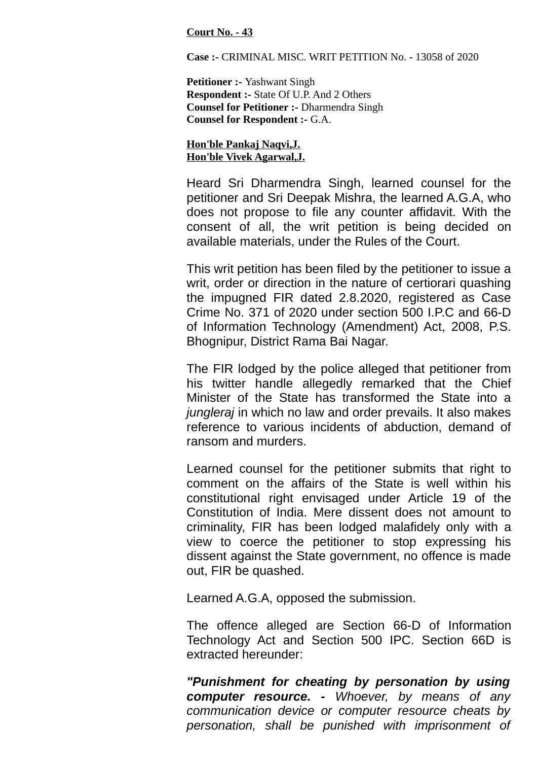## **Court No. - 43**

**Case :-** CRIMINAL MISC. WRIT PETITION No. - 13058 of 2020

**Petitioner :-** Yashwant Singh **Respondent :-** State Of U.P. And 2 Others **Counsel for Petitioner :-** Dharmendra Singh **Counsel for Respondent :-** G.A.

**Hon'ble Pankaj Naqvi,J. Hon'ble Vivek Agarwal,J.**

Heard Sri Dharmendra Singh, learned counsel for the petitioner and Sri Deepak Mishra, the learned A.G.A, who does not propose to file any counter affidavit. With the consent of all, the writ petition is being decided on available materials, under the Rules of the Court.

This writ petition has been filed by the petitioner to issue a writ, order or direction in the nature of certiorari quashing the impugned FIR dated 2.8.2020, registered as Case Crime No. 371 of 2020 under section 500 I.P.C and 66-D of Information Technology (Amendment) Act, 2008, P.S. Bhognipur, District Rama Bai Nagar.

The FIR lodged by the police alleged that petitioner from his twitter handle allegedly remarked that the Chief Minister of the State has transformed the State into a *jungleraj* in which no law and order prevails. It also makes reference to various incidents of abduction, demand of ransom and murders.

Learned counsel for the petitioner submits that right to comment on the affairs of the State is well within his constitutional right envisaged under Article 19 of the Constitution of India. Mere dissent does not amount to criminality, FIR has been lodged malafidely only with a view to coerce the petitioner to stop expressing his dissent against the State government, no offence is made out, FIR be quashed.

Learned A.G.A, opposed the submission.

The offence alleged are Section 66-D of Information Technology Act and Section 500 IPC. Section 66D is extracted hereunder:

*"Punishment for cheating by personation by using computer resource. - Whoever, by means of any communication device or computer resource cheats by personation, shall be punished with imprisonment of*